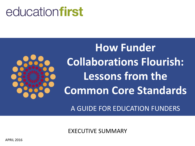# educationfirst



**How Funder Collaborations Flourish: Lessons from the Common Core Standards**

A GUIDE FOR EDUCATION FUNDERS

EXECUTIVE SUMMARY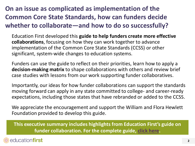# **On an issue as complicated as implementation of the Common Core State Standards, how can funders decide whether to collaborate—and how to do so successfully?**

Education First developed this **guide to help funders create more effective collaborations**, focusing on how they can work together to advance implementation of the Common Core State Standards (CCSS) or other significant, system-wide changes to education systems.

Funders can use the guide to reflect on their priorities, learn how to apply a **decision-making matrix** to shape collaborations with others and review brief case studies with lessons from our work supporting funder collaboratives.

Importantly, our ideas for how funder collaborations can support the standards moving forward can apply in any state committed to college- and career-ready expectations, including those states that have rebranded or added to the CCSS.

We appreciate the encouragement and support the William and Flora Hewlett Foundation provided to develop this guide.

**This executive summary includes highlights from Education First's guide on funder collaboration. For the complete guide, [click here.](http://education-first.com/library/publication/how-funder-collaborations-flourish-lessons-from-the-common-core-standards/)**

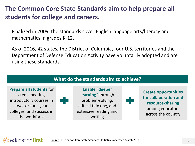#### **The Common Core State Standards aim to help prepare all students for college and careers.**

Finalized in 2009, the standards cover English language arts/literacy and mathematics in grades K-12.

As of 2016, 42 states, the District of Columbia, four U.S. territories and the Department of Defense Education Activity have voluntarily adopted and are using these standards.<sup>1</sup>



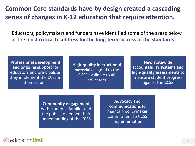#### **Common Core standards have by design created a cascading series of changes in K-12 education that require attention.**

Educators, policymakers and funders have identified some of the areas below as the **most critical to address for the long-term success of the standards**:

**Professional development and ongoing support** for educators and principals as they implement the CCSS in their schools

**High-quality instructional materials** aligned to the CCSS available to all educators

**New statewide accountability systems and high-quality assessments** to measure student progress against the CCSS

**Community engagement** with students, families and the public to deepen their understanding of the CCSS

**Advocacy and communications** to maintain policymaker commitment to CCSS implementation

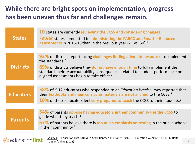#### **While there are bright spots on implementation, progress has been uneven thus far and challenges remain.**

| <b>States</b>    | 10 states are currently reviewing the CCSS and considering changes. <sup>1</sup><br><b>Fewer</b> states committed to administering the PARCC and Smarter Balanced<br>assessments in 2015-16 than in the previous year (21 vs. 30). <sup>1</sup>                                                                                              |
|------------------|----------------------------------------------------------------------------------------------------------------------------------------------------------------------------------------------------------------------------------------------------------------------------------------------------------------------------------------------|
|                  |                                                                                                                                                                                                                                                                                                                                              |
| <b>Districts</b> | 92% of districts report facing challenges finding adequate resources to implement<br>the standards. <sup>2</sup><br>89% of districts believe they do not have enough time to fully implement the<br>standards before accountability consequences related to student performance on<br>aligned assessments begin to take effect. <sup>2</sup> |
|                  |                                                                                                                                                                                                                                                                                                                                              |
| <b>Educators</b> | 58% of K-12 educators who responded to an <i>Education Week</i> survey reported that<br>their textbooks and main curricular materials are not aligned to the CCSS. <sup>3</sup><br>16% of these educators feel very prepared to teach the CCSS to their students. <sup>3</sup>                                                               |
|                  |                                                                                                                                                                                                                                                                                                                                              |
| <b>Parents</b>   | 54% of parents oppose having educators in their community use the CCSS to<br>guide what they teach. <sup>4</sup><br>67% of parents believe there is too much emphasis on testing in the public schools<br>in their community. <sup>4</sup>                                                                                                   |



Sources: 1. Education First (2015); 2. Stark Rentner and Kober (2014); 3. Education Week (2014); 4. Phi Delta Kappan/Gallup (2015)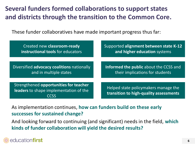# **Several funders formed collaborations to support states and districts through the transition to the Common Core.**

These funder collaboratives have made important progress thus far:

| Created new classroom-ready                | Supported alignment between state K-12 |
|--------------------------------------------|----------------------------------------|
| instructional tools for educators          | and higher education systems           |
|                                            |                                        |
| Diversified advocacy coalitions nationally | Informed the public about the CCSS and |
| and in multiple states                     | their implications for students        |
|                                            |                                        |
| Strengthened opportunities for teacher     | Helped state policymakers manage the   |
| leaders to shape implementation of the     | transition to high-quality assessments |

As implementation continues, **how can funders build on these early successes for sustained change?**

And looking forward to continuing (and significant) needs in the field, **which kinds of funder collaboration will yield the desired results?**

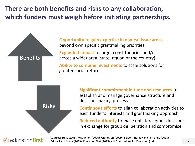**There are both benefits and risks to any collaboration, which funders must weigh before initiating partnerships.**



**Expanded impact** to larger constituencies and/or across a wider area (state, region or the country).

**Ability to combine investments** to scale solutions for greater social returns.

> **Significant commitment in time and resources** to establish and manage governance structure and decision-making process.

**Continuous efforts** to align collaboration activities to each funder's interests and grantmaking approach.

**Reduced authority** to make unilateral grant decisions in exchange for group deliberation and compromise.



**Benefits**

**Risks**

Sources: Brest (2005), Mackinnon (2006), GrantCraft (2009), Seldon, Tierney and Fernando (2013), Briddell and Marra (2013), Education First (2015) and Grantmakers for Education (n.d.).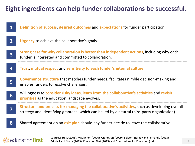#### **Eight ingredients can help funder collaborations be successful.**

#### **8 7 6 5 4 3 2 1 Definition of success**, **desired outcomes** and **expectations** for funder participation. **Urgency** to achieve the collaborative's goals. **Strong case for why collaboration is better than independent actions**, including why each funder is interested and committed to collaboration. **Trust**, **mutual respect** and **sensitivity to each funder's internal culture**. **Governance structure** that matches funder needs, facilitates nimble decision-making and enables funders to resolve challenges. Willingness to **consider risky ideas**, **learn from the collaborative's activities** and **revisit priorities** as the education landscape evolves. **Structure and process for managing the collaborative's activities**, such as developing overall strategy and identifying grantees (which can be led by a neutral third-party organization). Shared agreement on an **exit plan** should any funder decide to leave the collaborative.

#### education**first**

Sources: Brest (2005), Mackinnon (2006), GrantCraft (2009), Seldon, Tierney and Fernando (2013), Briddell and Marra (2013), Education First (2015) and Grantmakers for Education (n.d.).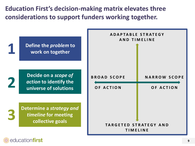**Education First's decision-making matrix elevates three considerations to support funders working together.** 



educationfirst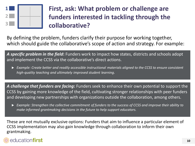

# **First, ask: What problem or challenge are funders interested in tackling through the collaborative?**

By defining the problem, funders clarify their purpose for working together, which should guide the collaborative's scope of action and strategy. For example:

*A specific problem in the field***:** Funders work to impact how states, districts and schools adopt and implement the CCSS via the collaborative's direct actions.

 *Example: Create better and readily accessible instructional materials aligned to the CCSS to ensure consistent high-quality teaching and ultimately improved student learning.*

A *challenge that funders are facing*: Funders seek to enhance their own potential to support the CCSS by gaining more knowledge of the field, cultivating stronger relationships with peer funders and developing new partnerships with organizations outside the collaboration, among others.

 *Example: Strengthen the collective commitment of funders to the success of CCSS and improve their ability to make informed grantmaking decisions in the future to help support educators.*

These are not mutually exclusive options: Funders that aim to influence a particular element of CCSS implementation may also gain knowledge through collaboration to inform their own grantmaking.

#### education**first**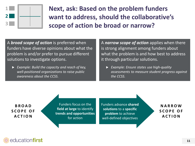

**Next, ask: Based on the problem funders want to address, should the collaborative's scope of action be broad or narrow?** 

A *broad scope of action* is preferred when funders have diverse opinions about what the problem is and/or prefer to pursue different solutions to investigate options.

 *Example: Build the capacity and reach of key, well-positioned organizations to raise public awareness about the CCSS.*

A *narrow scope of action* applies when there is strong alignment among funders about what the problem is and how best to address it through particular solutions.

 *Example: Ensure states use high-quality assessments to measure student progress against the CCSS.*

**B R O A D S C O P E O F A C T I O N**

Funders focus on the **field at large** to identify **trends and opportunities**  for action

Funders advance **shared solutions** to a **specific problem** to achieve well-defined objectives

**N A R R O W S C O P E O F A C T I O N**

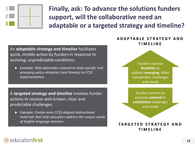

**Finally, ask: To advance the solutions funders support, will the collaborative need an adaptable or a targeted strategy and timeline?**

An *adaptable strategy and timeline* facilitates quick, nimble action by funders in response to evolving, unpredictable conditions.

 *Example: Help advocates respond to state-specific and emerging policy obstacles (and threats) to CCSS implementation.*

A *targeted strategy and timeline* involves funder actions to resolve well-known, clear and predictable challenges.

 *Example: Create more CCSS-aligned instructional materials that help educators address the unique needs of English language learners.*

#### **A D A P T A B L E S T R AT E G Y A N D T I M E L I N E**

Funders exercise **flexibility** to address **emerging**, often unexpected, challenges and needs

Funders commit to solutions **tailored** to **established** challenges and needs

#### **T A R G E T E D S T R AT E G Y A N D T I M E L I N E**

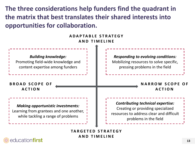**The three considerations help funders find the quadrant in the matrix that best translates their shared interests into opportunities for collaboration.**

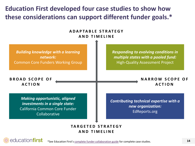**Education First developed four case studies to show how these considerations can support different funder goals.\***



\*See Education First's [complete funder collaboration guide](http://education-first.com/library/publication/how-funder-collaborations-flourish-lessons-from-the-common-core-standards/) for complete case studies.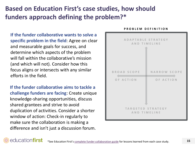# **Based on Education First's case studies, how should funders approach defining the problem?\***

**If the funder collaborative wants to solve a specific problem in the field**: Agree on clear and measurable goals for success, and determine which aspects of the problem will fall within the collaborative's mission (and which will not). Consider how this focus aligns or intersects with any similar efforts in the field.

**If the funder collaborative aims to tackle a challenge funders are facing**: Create unique knowledge-sharing opportunities, discuss shared grantees and strive to avoid duplication of activities. Consider a shorter window of action: Check-in regularly to make sure the collaboration is making a difference and isn't just a discussion forum.

# ADAPTABLE STRATEGY AND TIMELINE **BROAD SCOPF** NARROW SCOPF OF ACTION OF ACTION TARGETED STRATEGY **AND TIMELINE**

#### **P R O B L E M D E F I N I T I O N**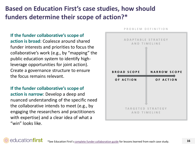# **Based on Education First's case studies, how should funders determine their scope of action?\***

**If the funder collaborative's scope of action is broad**: Coalesce around shared funder interests and priorities to focus the collaborative's work (e.g., by "mapping" the public education system to identify highleverage opportunities for joint action). Create a governance structure to ensure the focus remains relevant.

**If the funder collaborative's scope of action is narrow**: Develop a deep and nuanced understanding of the specific need the collaborative intends to meet (e.g., by engaging the researchers and practitioners with expertise) and a clear idea of what a "win" looks like.



PROBLEM DEFINITION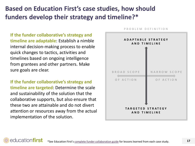# **Based on Education First's case studies, how should funders develop their strategy and timeline?\***

**If the funder collaborative's strategy and timeline are adaptable**: Establish a nimble internal decision-making process to enable quick changes to tactics, activities and timelines based on ongoing intelligence from grantees and other partners. Make sure goals are clear.

**If the funder collaborative's strategy and timeline are targeted**: Determine the scale and sustainability of the solution that the collaborative supports, but also ensure that these two are attainable and do not divert attention or resources away from the actual implementation of the solution.



#### PROBLEM DEFINITION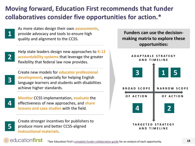# **Moving forward, Education First recommends that funder collaboratives consider five opportunities for action.\***

As more states design their own **assessments**, provide advocacy and tools to ensure high quality and alignment to the CCSS.



Help state leaders design new approaches to **K-12 accountability systems** that leverage the greater flexibility that federal law now provides.

**3**

education**first** 

Create new models for **educator professional development**, especially for helping English language learners and students with disabilities achieve higher standards.

**4**

**Monitor** CCSS implementation, **evaluate** the effectiveness of new approaches, and **share lessons and case studies** with the field.



Create stronger incentives for publishers to produce more and better CCSS-aligned **instructional materials**.

**Funders can use the decisionmaking matrix to explore these opportunities:**

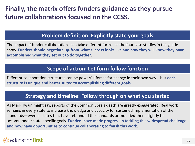# **Finally, the matrix offers funders guidance as they pursue future collaborations focused on the CCSS.**

#### **Problem definition: Explicitly state your goals**

The impact of funder collaborations can take different forms, as the four case studies in this guide show. **Funders should negotiate up-front what success looks like and how they will know they have accomplished what they set out to do together**.

#### **Scope of action: Let form follow function**

Different collaboration structures can be powerful forces for change in their own way—but **each structure is unique and better suited to accomplishing different goals**.

#### **Strategy and timeline: Follow through on what you started**

As Mark Twain might say, reports of the Common Core's death are greatly exaggerated. Real work remains in every state to increase knowledge and capacity for sustained implementation of the standards—even in states that have rebranded the standards or modified them slightly to accommodate state-specific goals. **Funders have made progress in tackling this widespread challenge and now have opportunities to continue collaborating to finish this work**.